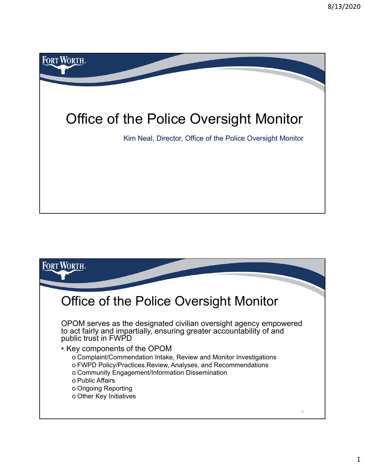

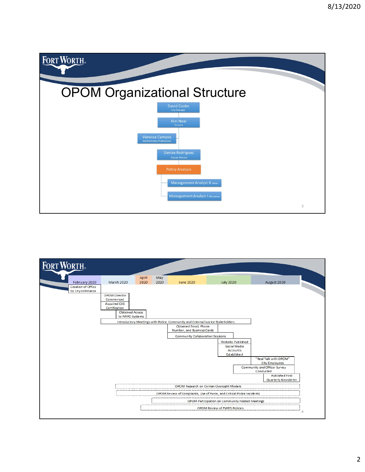

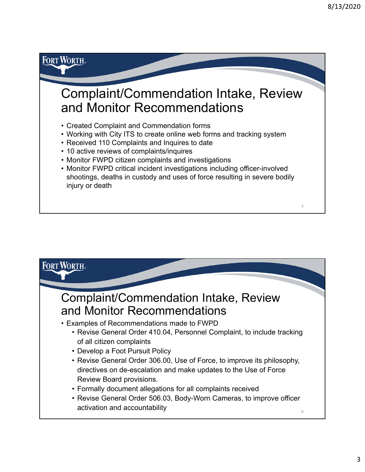5

## Complaint/Commendation Intake, Review and Monitor Recommendations

- Created Complaint and Commendation forms
- Working with City ITS to create online web forms and tracking system
- Received 110 Complaints and Inquires to date
- 10 active reviews of complaints/inquires

**FORT WORTH** 

- Monitor FWPD citizen complaints and investigations
- Monitor FWPD critical incident investigations including officer-involved shootings, deaths in custody and uses of force resulting in severe bodily injury or death

| <b>FORT WORTH</b>                                                                                                                                                                                                                                                                                                                                                |
|------------------------------------------------------------------------------------------------------------------------------------------------------------------------------------------------------------------------------------------------------------------------------------------------------------------------------------------------------------------|
| <b>Complaint/Commendation Intake, Review</b><br>and Monitor Recommendations                                                                                                                                                                                                                                                                                      |
| • Examples of Recommendations made to FWPD<br>• Revise General Order 410.04, Personnel Complaint, to include tracking<br>of all citizen complaints<br>• Develop a Foot Pursuit Policy<br>• Revise General Order 306.00, Use of Force, to improve its philosophy,<br>directives on de-escalation and make updates to the Use of Force<br>Review Board provisions. |
| • Formally document allegations for all complaints received<br>• Revise General Order 506.03, Body-Worn Cameras, to improve officer<br>activation and accountability<br>6                                                                                                                                                                                        |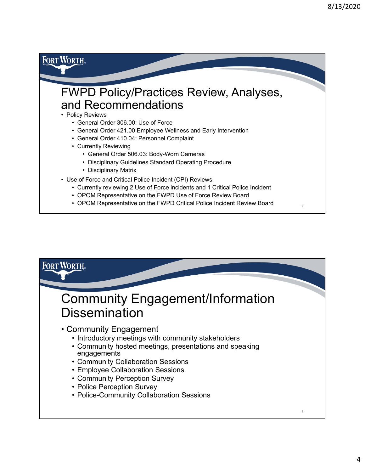

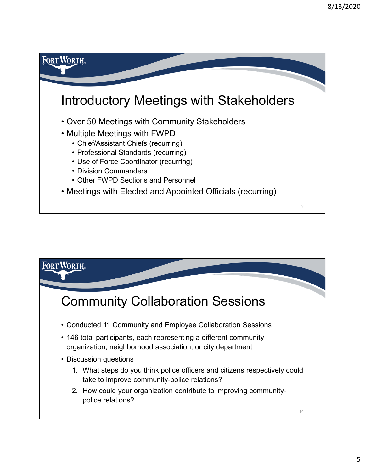

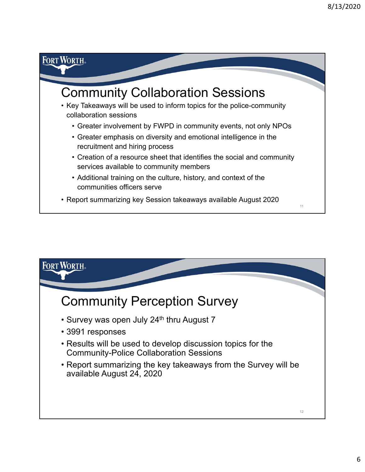## **FORT WORTH®** Community Collaboration Sessions • Key Takeaways will be used to inform topics for the police-community collaboration sessions • Greater involvement by FWPD in community events, not only NPOs • Greater emphasis on diversity and emotional intelligence in the recruitment and hiring process • Creation of a resource sheet that identifies the social and community services available to community members • Additional training on the culture, history, and context of the communities officers serve • Report summarizing key Session takeaways available August 2020 11

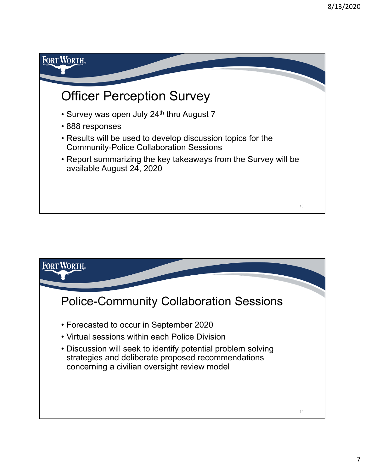

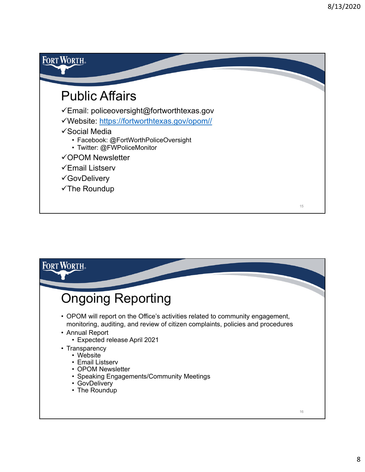

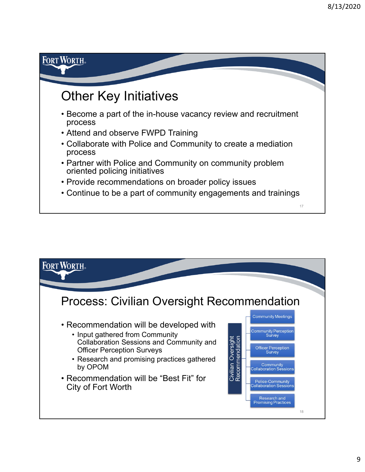## **FORT WORTH** Other Key Initiatives • Become a part of the in-house vacancy review and recruitment process • Attend and observe FWPD Training • Collaborate with Police and Community to create a mediation process • Partner with Police and Community on community problem oriented policing initiatives • Provide recommendations on broader policy issues • Continue to be a part of community engagements and trainings 17

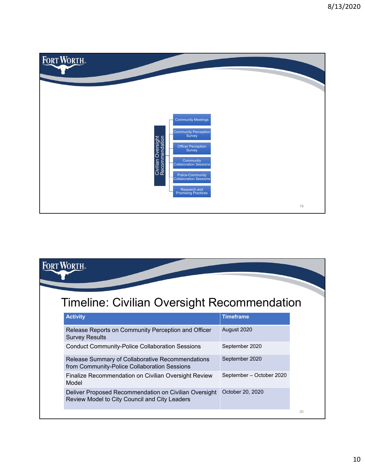

## **FORT WORTH** Timeline: Civilian Oversight Recommendation **Activity Timeframe** Release Reports on Community Perception and Officer August 2020 Survey Results Conduct Community-Police Collaboration Sessions September 2020 Release Summary of Collaborative Recommendations September 2020 from Community-Police Collaboration Sessions Finalize Recommendation on Civilian Oversight Review September – October 2020

| Release Summary of Collaborative Recommendations<br>from Community-Police Collaboration Sessions       | September 2020           |  |
|--------------------------------------------------------------------------------------------------------|--------------------------|--|
| Finalize Recommendation on Civilian Oversight Review<br>Model                                          | September - October 2020 |  |
| Deliver Proposed Recommendation on Civilian Oversight<br>Review Model to City Council and City Leaders | October 20, 2020         |  |

20